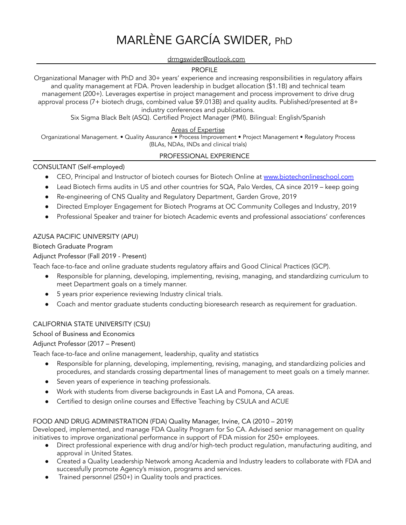# MARLÈNE GARCÍA SWIDER, PhD

#### drmgswider@outlook.com

#### PROFILE

Organizational Manager with PhD and 30+ years' experience and increasing responsibilities in regulatory affairs and quality management at FDA. Proven leadership in budget allocation (\$1.1B) and technical team management (200+). Leverages expertise in project management and process improvement to drive drug approval process (7+ biotech drugs, combined value \$9.013B) and quality audits. Published/presented at 8+ industry conferences and publications.

Six Sigma Black Belt (ASQ). Certified Project Manager (PMI). Bilingual: English/Spanish

# Areas of Expertise

Organizational Management. • Quality Assurance • Process Improvement • Project Management • Regulatory Process (BLAs, NDAs, INDs and clinical trials)

## PROFESSIONAL EXPERIENCE

## CONSULTANT (Self-employed)

- CEO, Principal and Instructor of biotech courses for Biotech Online at [www.biotechonlineschool.com](http://www.biotechonlineschool.com)
- Lead Biotech firms audits in US and other countries for SQA, Palo Verdes, CA since 2019 keep going
- Re-engineering of CNS Quality and Regulatory Department, Garden Grove, 2019
- Directed Employer Engagement for Biotech Programs at OC Community Colleges and Industry, 2019
- Professional Speaker and trainer for biotech Academic events and professional associations' conferences

# AZUSA PACIFIC UNIVERSITY (APU)

Biotech Graduate Program

Adjunct Professor (Fall 2019 - Present)

Teach face-to-face and online graduate students regulatory affairs and Good Clinical Practices (GCP).

- Responsible for planning, developing, implementing, revising, managing, and standardizing curriculum to meet Department goals on a timely manner.
- 5 years prior experience reviewing Industry clinical trials.
- Coach and mentor graduate students conducting bioresearch research as requirement for graduation.

# CALIFORNIA STATE UNIVERSITY (CSU)

School of Business and Economics

Adjunct Professor (2017 – Present)

Teach face-to-face and online management, leadership, quality and statistics

- Responsible for planning, developing, implementing, revising, managing, and standardizing policies and procedures, and standards crossing departmental lines of management to meet goals on a timely manner.
- Seven years of experience in teaching professionals.
- Work with students from diverse backgrounds in East LA and Pomona, CA areas.
- Certified to design online courses and Effective Teaching by CSULA and ACUE

# FOOD AND DRUG ADMINISTRATION (FDA) Quality Manager, Irvine, CA (2010 – 2019)

Developed, implemented, and manage FDA Quality Program for So CA. Advised senior management on quality initiatives to improve organizational performance in support of FDA mission for 250+ employees.

- Direct professional experience with drug and/or high-tech product regulation, manufacturing auditing, and approval in United States.
- Created a Quality Leadership Network among Academia and Industry leaders to collaborate with FDA and successfully promote Agency's mission, programs and services.
- Trained personnel (250+) in Quality tools and practices.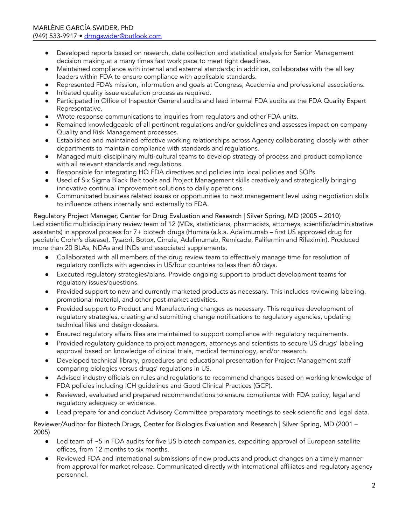- Developed reports based on research, data collection and statistical analysis for Senior Management decision making.at a many times fast work pace to meet tight deadlines.
- Maintained compliance with internal and external standards; in addition, collaborates with the all key leaders within FDA to ensure compliance with applicable standards.
- Represented FDA's mission, information and goals at Congress, Academia and professional associations.
- Initiated quality issue escalation process as required.
- Participated in Office of Inspector General audits and lead internal FDA audits as the FDA Quality Expert Representative.
- Wrote response communications to inquiries from regulators and other FDA units.
- Remained knowledgeable of all pertinent regulations and/or guidelines and assesses impact on company Quality and Risk Management processes.
- Established and maintained effective working relationships across Agency collaborating closely with other departments to maintain compliance with standards and regulations.
- Managed multi-disciplinary multi-cultural teams to develop strategy of process and product compliance with all relevant standards and regulations.
- Responsible for integrating HQ FDA directives and policies into local policies and SOPs.
- Used of Six Sigma Black Belt tools and Project Management skills creatively and strategically bringing innovative continual improvement solutions to daily operations.
- Communicated business related issues or opportunities to next management level using negotiation skills to influence others internally and externally to FDA.

Regulatory Project Manager, Center for Drug Evaluation and Research | Silver Spring, MD (2005 – 2010) Led scientific multidisciplinary review team of 12 (MDs, statisticians, pharmacists, attorneys, scientific/administrative assistants) in approval process for 7+ biotech drugs (Humira (a.k.a. Adalimumab – first US approved drug for pediatric Crohn's disease), Tysabri, Botox, Cimzia, Adalimumab, Remicade, Palifermin and Rifaximin). Produced more than 20 BLAs, NDAs and INDs and associated supplements.

- Collaborated with all members of the drug review team to effectively manage time for resolution of regulatory conflicts with agencies in US/four countries to less than 60 days.
- Executed regulatory strategies/plans. Provide ongoing support to product development teams for regulatory issues/questions.
- Provided support to new and currently marketed products as necessary. This includes reviewing labeling, promotional material, and other post-market activities.
- Provided support to Product and Manufacturing changes as necessary. This requires development of regulatory strategies, creating and submitting change notifications to regulatory agencies, updating technical files and design dossiers.
- Ensured regulatory affairs files are maintained to support compliance with regulatory requirements.
- Provided regulatory guidance to project managers, attorneys and scientists to secure US drugs' labeling approval based on knowledge of clinical trials, medical terminology, and/or research.
- Developed technical library, procedures and educational presentation for Project Management staff comparing biologics versus drugs' regulations in US.
- Advised industry officials on rules and regulations to recommend changes based on working knowledge of FDA policies including ICH guidelines and Good Clinical Practices (GCP).
- Reviewed, evaluated and prepared recommendations to ensure compliance with FDA policy, legal and regulatory adequacy or evidence.
- Lead prepare for and conduct Advisory Committee preparatory meetings to seek scientific and legal data.

Reviewer/Auditor for Biotech Drugs, Center for Biologics Evaluation and Research | Silver Spring, MD (2001 – 2005)

- Led team of ~5 in FDA audits for five US biotech companies, expediting approval of European satellite offices, from 12 months to six months.
- Reviewed FDA and international submissions of new products and product changes on a timely manner from approval for market release. Communicated directly with international affiliates and regulatory agency personnel.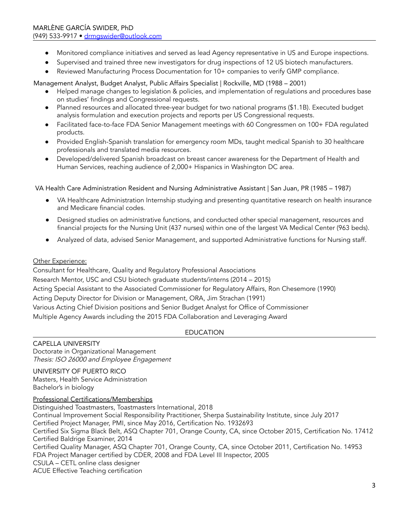- Monitored compliance initiatives and served as lead Agency representative in US and Europe inspections.
- Supervised and trained three new investigators for drug inspections of 12 US biotech manufacturers.
- Reviewed Manufacturing Process Documentation for 10+ companies to verify GMP compliance.

Management Analyst, Budget Analyst, Public Affairs Specialist | Rockville, MD (1988 – 2001)

- Helped manage changes to legislation & policies, and implementation of regulations and procedures base on studies' findings and Congressional requests.
- Planned resources and allocated three-year budget for two national programs (\$1.1B). Executed budget analysis formulation and execution projects and reports per US Congressional requests.
- Facilitated face-to-face FDA Senior Management meetings with 60 Congressmen on 100+ FDA regulated products.
- Provided English-Spanish translation for emergency room MDs, taught medical Spanish to 30 healthcare professionals and translated media resources.
- Developed/delivered Spanish broadcast on breast cancer awareness for the Department of Health and Human Services, reaching audience of 2,000+ Hispanics in Washington DC area.

VA Health Care Administration Resident and Nursing Administrative Assistant | San Juan, PR (1985 – 1987)

- VA Healthcare Administration Internship studying and presenting quantitative research on health insurance and Medicare financial codes.
- Designed studies on administrative functions, and conducted other special management, resources and financial projects for the Nursing Unit (437 nurses) within one of the largest VA Medical Center (963 beds).
- Analyzed of data, advised Senior Management, and supported Administrative functions for Nursing staff.

## Other Experience:

Consultant for Healthcare, Quality and Regulatory Professional Associations Research Mentor, USC and CSU biotech graduate students/interns (2014 – 2015) Acting Special Assistant to the Associated Commissioner for Regulatory Affairs, Ron Chesemore (1990) Acting Deputy Director for Division or Management, ORA, Jim Strachan (1991) Various Acting Chief Division positions and Senior Budget Analyst for Office of Commissioner Multiple Agency Awards including the 2015 FDA Collaboration and Leveraging Award

# EDUCATION

CAPELLA UNIVERSITY Doctorate in Organizational Management Thesis: ISO 26000 and Employee Engagement

UNIVERSITY OF PUERTO RICO Masters, Health Service Administration Bachelor's in biology

Professional Certifications/Memberships

Distinguished Toastmasters, Toastmasters International, 2018 Continual Improvement Social Responsibility Practitioner, Sherpa Sustainability Institute, since July 2017 Certified Project Manager, PMI, since May 2016, Certification No. 1932693 Certified Six Sigma Black Belt, ASQ Chapter 701, Orange County, CA, since October 2015, Certification No. 17412 Certified Baldrige Examiner, 2014 Certified Quality Manager, ASQ Chapter 701, Orange County, CA, since October 2011, Certification No. 14953 FDA Project Manager certified by CDER, 2008 and FDA Level III Inspector, 2005 CSULA – CETL online class designer ACUE Effective Teaching certification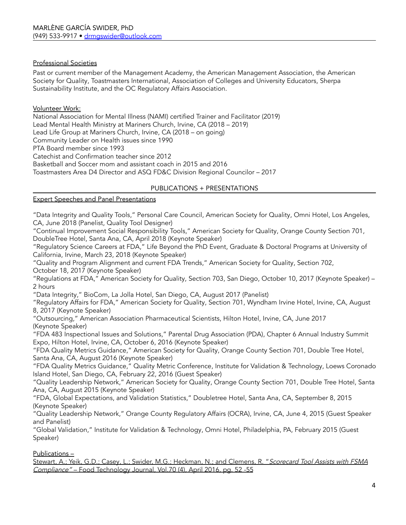## Professional Societies

Past or current member of the Management Academy, the American Management Association, the American Society for Quality, Toastmasters International, Association of Colleges and University Educators, Sherpa Sustainability Institute, and the OC Regulatory Affairs Association.

#### Volunteer Work:

National Association for Mental Illness (NAMI) certified Trainer and Facilitator (2019) Lead Mental Health Ministry at Mariners Church, Irvine, CA (2018 – 2019) Lead Life Group at Mariners Church, Irvine, CA (2018 – on going) Community Leader on Health issues since 1990 PTA Board member since 1993 Catechist and Confirmation teacher since 2012 Basketball and Soccer mom and assistant coach in 2015 and 2016 Toastmasters Area D4 Director and ASQ FD&C Division Regional Councilor – 2017

#### PUBLICATIONS + PRESENTATIONS

# Expert Speeches and Panel Presentations

"Data Integrity and Quality Tools," Personal Care Council, American Society for Quality, Omni Hotel, Los Angeles, CA, June 2018 (Panelist, Quality Tool Designer)

"Continual Improvement Social Responsibility Tools," American Society for Quality, Orange County Section 701, DoubleTree Hotel, Santa Ana, CA, April 2018 (Keynote Speaker)

"Regulatory Science Careers at FDA," Life Beyond the PhD Event, Graduate & Doctoral Programs at University of California, Irvine, March 23, 2018 (Keynote Speaker)

"Quality and Program Alignment and current FDA Trends," American Society for Quality, Section 702, October 18, 2017 (Keynote Speaker)

"Regulations at FDA," American Society for Quality, Section 703, San Diego, October 10, 2017 (Keynote Speaker) – 2 hours

"Data Integrity," BioCom, La Jolla Hotel, San Diego, CA, August 2017 (Panelist)

"Regulatory Affairs for FDA," American Society for Quality, Section 701, Wyndham Irvine Hotel, Irvine, CA, August 8, 2017 (Keynote Speaker)

"Outsourcing," American Association Pharmaceutical Scientists, Hilton Hotel, Irvine, CA, June 2017 (Keynote Speaker)

"FDA 483 Inspectional Issues and Solutions," Parental Drug Association (PDA), Chapter 6 Annual Industry Summit Expo, Hilton Hotel, Irvine, CA, October 6, 2016 (Keynote Speaker)

"FDA Quality Metrics Guidance," American Society for Quality, Orange County Section 701, Double Tree Hotel, Santa Ana, CA, August 2016 (Keynote Speaker)

"FDA Quality Metrics Guidance," Quality Metric Conference, Institute for Validation & Technology, Loews Coronado Island Hotel, San Diego, CA, February 22, 2016 (Guest Speaker)

"Quality Leadership Network," American Society for Quality, Orange County Section 701, Double Tree Hotel, Santa Ana, CA, August 2015 (Keynote Speaker)

"FDA, Global Expectations, and Validation Statistics," Doubletree Hotel, Santa Ana, CA, September 8, 2015 (Keynote Speaker)

"Quality Leadership Network," Orange County Regulatory Affairs (OCRA), Irvine, CA, June 4, 2015 (Guest Speaker and Panelist)

"Global Validation," Institute for Validation & Technology, Omni Hotel, Philadelphia, PA, February 2015 (Guest Speaker)

Publications –

Stewart, A.; Yeik, G.D.; Casey, L.; Swider, M.G.; Heckman, N.; and Clemens, R. "Scorecard Tool Assists with FSMA Compliance" – Food Technology Journal, Vol.70 (4), April 2016, pg. 52 -55